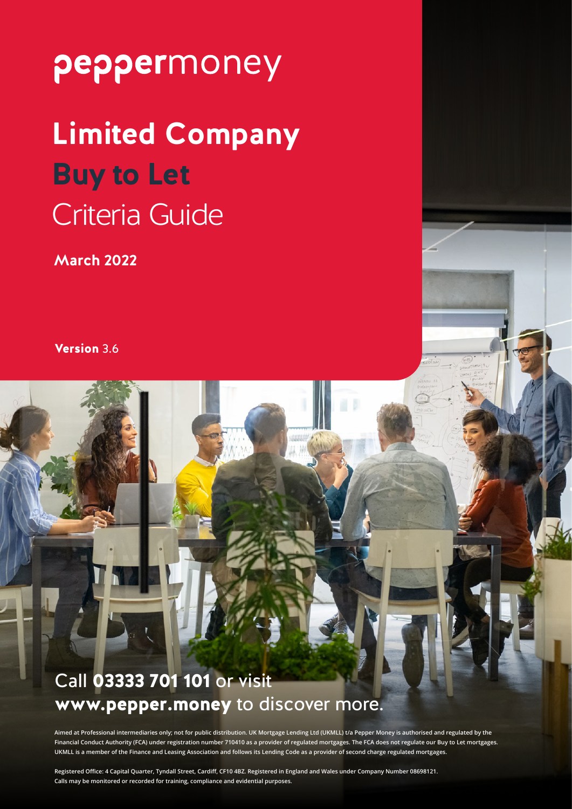# **Limited Company Buy to Let** Criteria Guide

**March 2022**

Version 3.6

## Call 03333 701 101 or visit www.pepper.money to discover more.

**Aimed at Professional intermediaries only; not for public distribution. UK Mortgage Lending Ltd (UKMLL) t/a Pepper Money is authorised and regulated by the Financial Conduct Authority (FCA) under registration number 710410 as a provider of regulated mortgages. The FCA does not regulate our Buy to Let mortgages. UKMLL is a member of the Finance and Leasing Association and follows its Lending Code as a provider of second charge regulated mortgages.**

**Registered Office: 4 Capital Quarter, Tyndall Street, Cardiff, CF10 4BZ. Registered in England and Wales under Company Number 08698121. Calls may be monitored or recorded for training, compliance and evidential purposes.**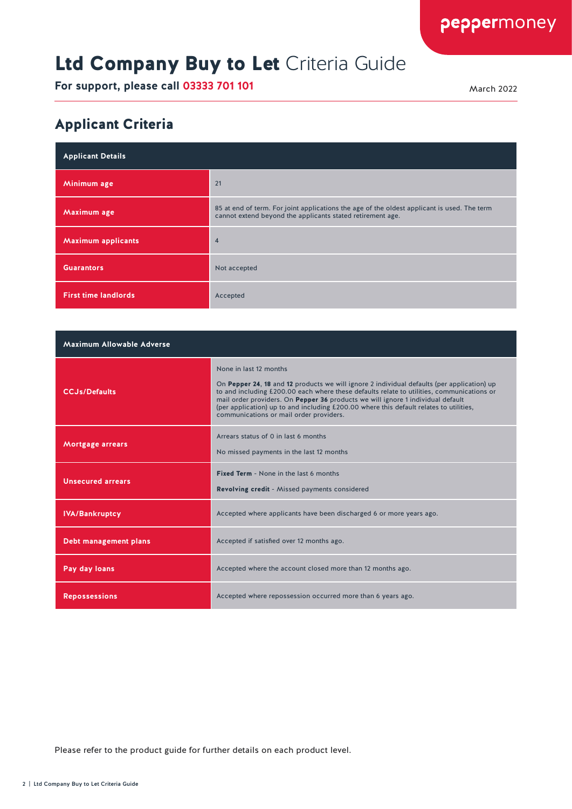## Ltd Company Buy to Let Criteria Guide

**For support, please call 03333 701 101** March 2022

peppermoney

#### Applicant Criteria

| <b>Applicant Details</b>    |                                                                                                                                                           |
|-----------------------------|-----------------------------------------------------------------------------------------------------------------------------------------------------------|
| Minimum age                 | 21                                                                                                                                                        |
| Maximum age                 | 85 at end of term. For joint applications the age of the oldest applicant is used. The term<br>cannot extend beyond the applicants stated retirement age. |
| <b>Maximum applicants</b>   | $\overline{4}$                                                                                                                                            |
| <b>Guarantors</b>           | Not accepted                                                                                                                                              |
| <b>First time landlords</b> | Accepted                                                                                                                                                  |

| Maximum Allowable Adverse    |                                                                                                                                                                                                                                                                                                                                                                                                                                           |
|------------------------------|-------------------------------------------------------------------------------------------------------------------------------------------------------------------------------------------------------------------------------------------------------------------------------------------------------------------------------------------------------------------------------------------------------------------------------------------|
| <b>CCJs/Defaults</b>         | None in last 12 months<br>On Pepper 24, 18 and 12 products we will ignore 2 individual defaults (per application) up<br>to and including £200.00 each where these defaults relate to utilities, communications or<br>mail order providers. On Pepper 36 products we will ignore 1 individual default<br>(per application) up to and including £200.00 where this default relates to utilities,<br>communications or mail order providers. |
| Mortgage arrears             | Arrears status of 0 in last 6 months<br>No missed payments in the last 12 months                                                                                                                                                                                                                                                                                                                                                          |
| <b>Unsecured arrears</b>     | <b>Fixed Term - None in the last 6 months</b><br><b>Revolving credit</b> - Missed payments considered                                                                                                                                                                                                                                                                                                                                     |
| <b>IVA/Bankruptcy</b>        | Accepted where applicants have been discharged 6 or more years ago.                                                                                                                                                                                                                                                                                                                                                                       |
| <b>Debt management plans</b> | Accepted if satisfied over 12 months ago.                                                                                                                                                                                                                                                                                                                                                                                                 |
| Pay day loans                | Accepted where the account closed more than 12 months ago.                                                                                                                                                                                                                                                                                                                                                                                |
| <b>Repossessions</b>         | Accepted where repossession occurred more than 6 years ago.                                                                                                                                                                                                                                                                                                                                                                               |

Please refer to the product guide for further details on each product level.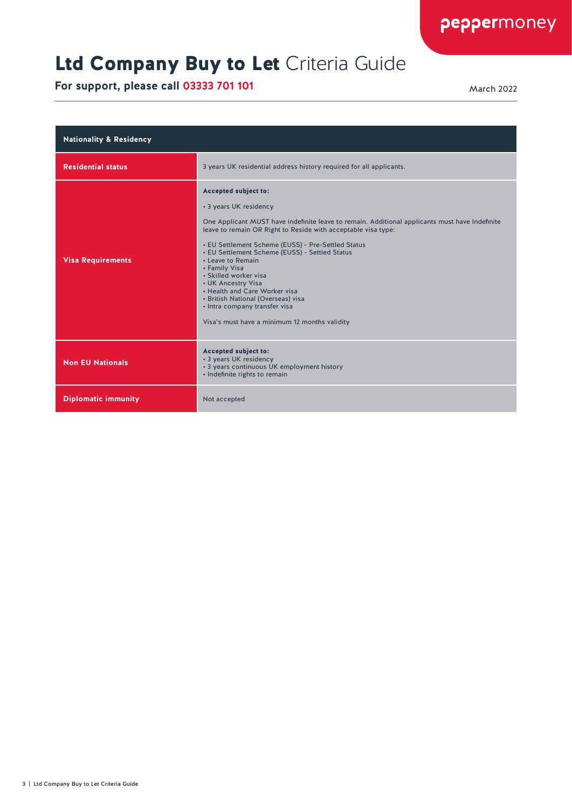## Ltd Company Buy to Let Criteria Guide

| <b>Nationality &amp; Residency</b> |                                                                                                                                                                                                                                                                                                                                                                                                                                                                                                                                                                         |
|------------------------------------|-------------------------------------------------------------------------------------------------------------------------------------------------------------------------------------------------------------------------------------------------------------------------------------------------------------------------------------------------------------------------------------------------------------------------------------------------------------------------------------------------------------------------------------------------------------------------|
| <b>Residential status</b>          | 3 years UK residential address history required for all applicants.                                                                                                                                                                                                                                                                                                                                                                                                                                                                                                     |
| <b>Visa Requirements</b>           | Accepted subject to:<br>• 3 years UK residency<br>One Applicant MUST have indefinite leave to remain. Additional applicants must have Indefinite<br>leave to remain OR Right to Reside with acceptable visa type:<br>• EU Settlement Scheme (EUSS) - Pre-Settled Status<br>• EU Settlement Scheme (EUSS) - Settled Status<br>• Leave to Remain<br>• Family Visa<br>• Skilled worker visa<br>• UK Ancestry Visa<br>• Health and Care Worker visa<br>• British National (Overseas) visa<br>• Intra company transfer visa<br>Visa's must have a minimum 12 months validity |
| <b>Non EU Nationals</b>            | Accepted subject to:<br>• 3 years UK residency<br>• 3 years continuous UK employment history<br>· Indefinite rights to remain                                                                                                                                                                                                                                                                                                                                                                                                                                           |
| <b>Diplomatic immunity</b>         | Not accepted                                                                                                                                                                                                                                                                                                                                                                                                                                                                                                                                                            |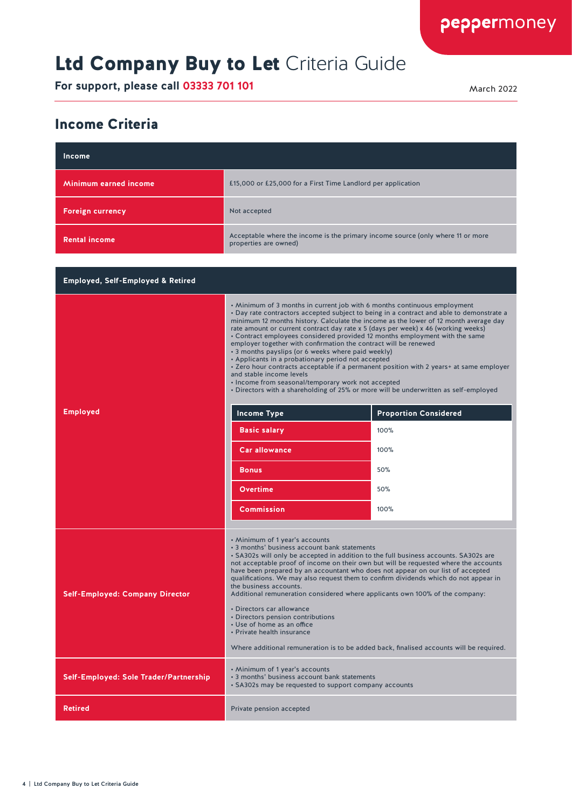## Ltd Company Buy to Let Criteria Guide

**For support, please call 03333 701 101** March 2022

peppermoney

#### Income Criteria

| Income                                       |                                                                                                                                                                                                                                                                                                                                                                                                                                                                                                                                                                                                                                                                                                                                                                                                                                                                                       |                              |
|----------------------------------------------|---------------------------------------------------------------------------------------------------------------------------------------------------------------------------------------------------------------------------------------------------------------------------------------------------------------------------------------------------------------------------------------------------------------------------------------------------------------------------------------------------------------------------------------------------------------------------------------------------------------------------------------------------------------------------------------------------------------------------------------------------------------------------------------------------------------------------------------------------------------------------------------|------------------------------|
| Minimum earned income                        | £15,000 or £25,000 for a First Time Landlord per application                                                                                                                                                                                                                                                                                                                                                                                                                                                                                                                                                                                                                                                                                                                                                                                                                          |                              |
| <b>Foreign currency</b>                      | Not accepted                                                                                                                                                                                                                                                                                                                                                                                                                                                                                                                                                                                                                                                                                                                                                                                                                                                                          |                              |
| <b>Rental income</b>                         | Acceptable where the income is the primary income source (only where 11 or more<br>properties are owned)                                                                                                                                                                                                                                                                                                                                                                                                                                                                                                                                                                                                                                                                                                                                                                              |                              |
|                                              |                                                                                                                                                                                                                                                                                                                                                                                                                                                                                                                                                                                                                                                                                                                                                                                                                                                                                       |                              |
| <b>Employed, Self-Employed &amp; Retired</b> |                                                                                                                                                                                                                                                                                                                                                                                                                                                                                                                                                                                                                                                                                                                                                                                                                                                                                       |                              |
|                                              | • Minimum of 3 months in current job with 6 months continuous employment<br>• Day rate contractors accepted subject to being in a contract and able to demonstrate a<br>minimum 12 months history. Calculate the income as the lower of 12 month average day<br>rate amount or current contract day rate x 5 (days per week) x 46 (working weeks)<br>• Contract employees considered provided 12 months employment with the same<br>employer together with confirmation the contract will be renewed<br>• 3 months payslips (or 6 weeks where paid weekly)<br>• Applicants in a probationary period not accepted<br>• Zero hour contracts acceptable if a permanent position with 2 years+ at same employer<br>and stable income levels<br>· Income from seasonal/temporary work not accepted<br>. Directors with a shareholding of 25% or more will be underwritten as self-employed |                              |
| <b>Employed</b>                              | <b>Income Type</b>                                                                                                                                                                                                                                                                                                                                                                                                                                                                                                                                                                                                                                                                                                                                                                                                                                                                    | <b>Proportion Considered</b> |
|                                              | <b>Basic salary</b>                                                                                                                                                                                                                                                                                                                                                                                                                                                                                                                                                                                                                                                                                                                                                                                                                                                                   | 100%                         |
|                                              | <b>Car allowance</b>                                                                                                                                                                                                                                                                                                                                                                                                                                                                                                                                                                                                                                                                                                                                                                                                                                                                  | 100%                         |
|                                              | <b>Bonus</b>                                                                                                                                                                                                                                                                                                                                                                                                                                                                                                                                                                                                                                                                                                                                                                                                                                                                          | 50%                          |
|                                              | Overtime                                                                                                                                                                                                                                                                                                                                                                                                                                                                                                                                                                                                                                                                                                                                                                                                                                                                              | 50%                          |
|                                              | <b>Commission</b>                                                                                                                                                                                                                                                                                                                                                                                                                                                                                                                                                                                                                                                                                                                                                                                                                                                                     | 100%                         |
| <b>Self-Employed: Company Director</b>       | • Minimum of 1 year's accounts<br>• 3 months' business account bank statements<br>• SA302s will only be accepted in addition to the full business accounts. SA302s are<br>not acceptable proof of income on their own but will be requested where the accounts<br>have been prepared by an accountant who does not appear on our list of accepted<br>qualifications. We may also request them to confirm dividends which do not appear in<br>the business accounts.<br>Additional remuneration considered where applicants own 100% of the company:<br>• Directors car allowance<br>• Directors pension contributions<br>• Use of home as an office<br>• Private health insurance<br>Where additional remuneration is to be added back, finalised accounts will be required.                                                                                                          |                              |
| Self-Employed: Sole Trader/Partnership       | • Minimum of 1 year's accounts<br>• 3 months' business account bank statements<br>• SA302s may be requested to support company accounts                                                                                                                                                                                                                                                                                                                                                                                                                                                                                                                                                                                                                                                                                                                                               |                              |
| Retired                                      | Private pension accepted                                                                                                                                                                                                                                                                                                                                                                                                                                                                                                                                                                                                                                                                                                                                                                                                                                                              |                              |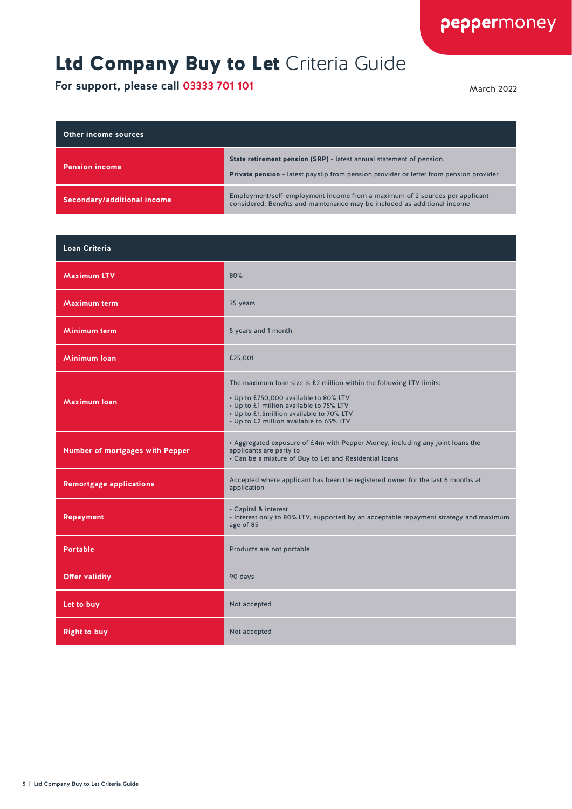#### Ltd Company Buy to Let Criteria Guide

| Other income sources        |                                                                                                                                                                |
|-----------------------------|----------------------------------------------------------------------------------------------------------------------------------------------------------------|
| <b>Pension income</b>       | State retirement pension (SRP) - latest annual statement of pension.<br>Private pension - latest payslip from pension provider or letter from pension provider |
| Secondary/additional income | Employment/self-employment income from a maximum of 2 sources per applicant<br>considered. Benefits and maintenance may be included as additional income       |

| <b>Loan Criteria</b>            |                                                                                                                                                                                                                                                 |
|---------------------------------|-------------------------------------------------------------------------------------------------------------------------------------------------------------------------------------------------------------------------------------------------|
| <b>Maximum LTV</b>              | 80%                                                                                                                                                                                                                                             |
| <b>Maximum term</b>             | 35 years                                                                                                                                                                                                                                        |
| Minimum term                    | 5 years and 1 month                                                                                                                                                                                                                             |
| Minimum Ioan                    | £25,001                                                                                                                                                                                                                                         |
| <b>Maximum loan</b>             | The maximum loan size is £2 million within the following LTV limits:<br>• Up to £750,000 available to 80% LTV<br>• Up to £1 million available to 75% LTV<br>• Up to £1.5million available to 70% LTV<br>• Up to £2 million available to 65% LTV |
| Number of mortgages with Pepper | • Aggregated exposure of £4m with Pepper Money, including any joint loans the<br>applicants are party to<br>• Can be a mixture of Buy to Let and Residential loans                                                                              |
| <b>Remortgage applications</b>  | Accepted where applicant has been the registered owner for the last 6 months at<br>application                                                                                                                                                  |
| <b>Repayment</b>                | • Capital & interest<br>. Interest only to 80% LTV, supported by an acceptable repayment strategy and maximum<br>age of 85                                                                                                                      |
| <b>Portable</b>                 | Products are not portable                                                                                                                                                                                                                       |
| <b>Offer validity</b>           | 90 days                                                                                                                                                                                                                                         |
| Let to buy                      | Not accepted                                                                                                                                                                                                                                    |
| <b>Right to buy</b>             | Not accepted                                                                                                                                                                                                                                    |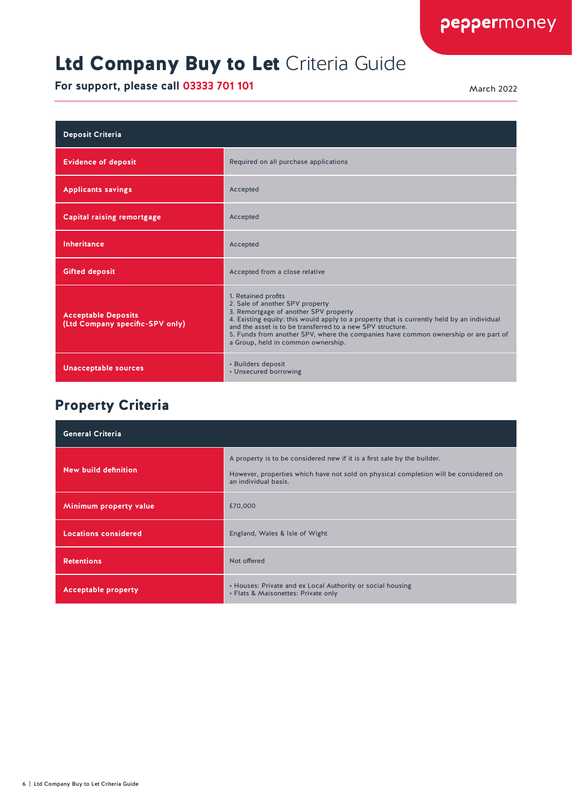### Ltd Company Buy to Let Criteria Guide

**For support, please call 03333 701 101** March 2022

| <b>Deposit Criteria</b>                                       |                                                                                                                                                                                                                                                                                                                                                                                          |
|---------------------------------------------------------------|------------------------------------------------------------------------------------------------------------------------------------------------------------------------------------------------------------------------------------------------------------------------------------------------------------------------------------------------------------------------------------------|
| <b>Evidence of deposit</b>                                    | Required on all purchase applications                                                                                                                                                                                                                                                                                                                                                    |
| <b>Applicants savings</b>                                     | Accepted                                                                                                                                                                                                                                                                                                                                                                                 |
| <b>Capital raising remortgage</b>                             | Accepted                                                                                                                                                                                                                                                                                                                                                                                 |
| Inheritance                                                   | Accepted                                                                                                                                                                                                                                                                                                                                                                                 |
| <b>Gifted deposit</b>                                         | Accepted from a close relative                                                                                                                                                                                                                                                                                                                                                           |
| <b>Acceptable Deposits</b><br>(Ltd Company specific-SPV only) | 1. Retained profits<br>2. Sale of another SPV property<br>3. Remortgage of another SPV property<br>4. Existing equity: this would apply to a property that is currently held by an individual<br>and the asset is to be transferred to a new SPV structure.<br>5. Funds from another SPV, where the companies have common ownership or are part of<br>a Group, held in common ownership. |
| <b>Unacceptable sources</b>                                   | • Builders deposit<br>• Unsecured borrowing                                                                                                                                                                                                                                                                                                                                              |

#### Property Criteria

| <b>General Criteria</b>     |                                                                                                                                                                                          |
|-----------------------------|------------------------------------------------------------------------------------------------------------------------------------------------------------------------------------------|
| New build definition        | A property is to be considered new if it is a first sale by the builder.<br>However, properties which have not sold on physical completion will be considered on<br>an individual basis. |
| Minimum property value      | £70,000                                                                                                                                                                                  |
| <b>Locations considered</b> | England, Wales & Isle of Wight                                                                                                                                                           |
| <b>Retentions</b>           | Not offered                                                                                                                                                                              |
| <b>Acceptable property</b>  | • Houses: Private and ex Local Authority or social housing<br>• Flats & Maisonettes: Private only                                                                                        |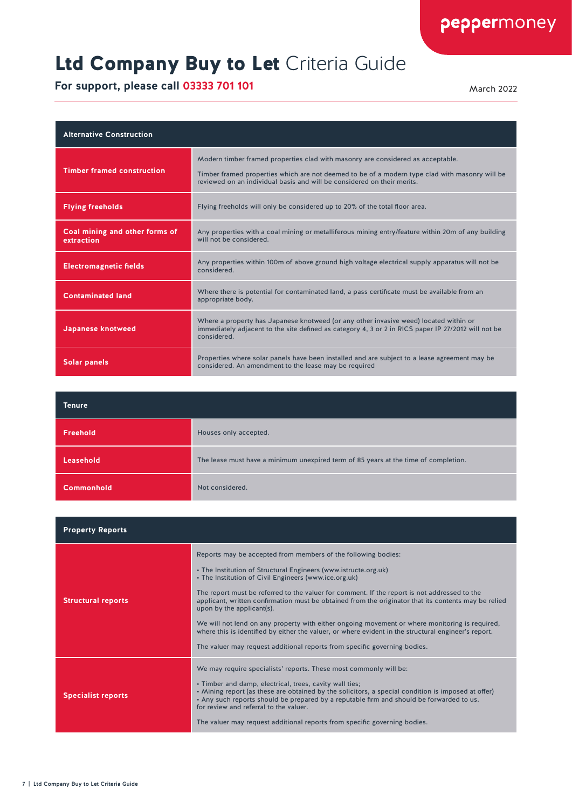## Ltd Company Buy to Let Criteria Guide

| <b>Alternative Construction</b>              |                                                                                                                                                                                                                                                              |
|----------------------------------------------|--------------------------------------------------------------------------------------------------------------------------------------------------------------------------------------------------------------------------------------------------------------|
| <b>Timber framed construction</b>            | Modern timber framed properties clad with masonry are considered as acceptable.<br>Timber framed properties which are not deemed to be of a modern type clad with masonry will be<br>reviewed on an individual basis and will be considered on their merits. |
| <b>Flying freeholds</b>                      | Flying freeholds will only be considered up to 20% of the total floor area.                                                                                                                                                                                  |
| Coal mining and other forms of<br>extraction | Any properties with a coal mining or metalliferous mining entry/feature within 20m of any building<br>will not be considered.                                                                                                                                |
| <b>Electromagnetic fields</b>                | Any properties within 100m of above ground high voltage electrical supply apparatus will not be<br>considered.                                                                                                                                               |
| <b>Contaminated land</b>                     | Where there is potential for contaminated land, a pass certificate must be available from an<br>appropriate body.                                                                                                                                            |
| Japanese knotweed                            | Where a property has Japanese knotweed (or any other invasive weed) located within or<br>immediately adjacent to the site defined as category 4, 3 or 2 in RICS paper IP 27/2012 will not be<br>considered.                                                  |
| <b>Solar panels</b>                          | Properties where solar panels have been installed and are subject to a lease agreement may be<br>considered. An amendment to the lease may be required                                                                                                       |

| <b>Tenure</b>     |                                                                                     |
|-------------------|-------------------------------------------------------------------------------------|
| Freehold          | Houses only accepted.                                                               |
| Leasehold         | The lease must have a minimum unexpired term of 85 years at the time of completion. |
| <b>Commonhold</b> | Not considered.                                                                     |

| <b>Property Reports</b>   |                                                                                                                                                                                                                                                                                                                                                                                                                                                                                                                                                                                                                                                                                                                       |
|---------------------------|-----------------------------------------------------------------------------------------------------------------------------------------------------------------------------------------------------------------------------------------------------------------------------------------------------------------------------------------------------------------------------------------------------------------------------------------------------------------------------------------------------------------------------------------------------------------------------------------------------------------------------------------------------------------------------------------------------------------------|
| <b>Structural reports</b> | Reports may be accepted from members of the following bodies:<br>• The Institution of Structural Engineers (www.istructe.org.uk)<br>• The Institution of Civil Engineers (www.ice.org.uk)<br>The report must be referred to the valuer for comment. If the report is not addressed to the<br>applicant, written confirmation must be obtained from the originator that its contents may be relied<br>upon by the applicant(s).<br>We will not lend on any property with either ongoing movement or where monitoring is required,<br>where this is identified by either the valuer, or where evident in the structural engineer's report.<br>The valuer may request additional reports from specific governing bodies. |
| <b>Specialist reports</b> | We may require specialists' reports. These most commonly will be:<br>. Timber and damp, electrical, trees, cavity wall ties;<br>. Mining report (as these are obtained by the solicitors, a special condition is imposed at offer)<br>. Any such reports should be prepared by a reputable firm and should be forwarded to us.<br>for review and referral to the valuer.<br>The valuer may request additional reports from specific governing bodies.                                                                                                                                                                                                                                                                 |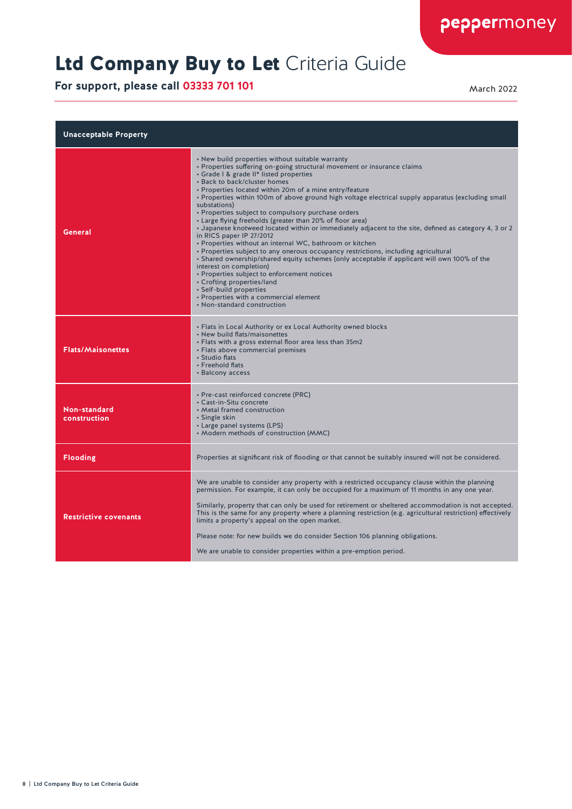## Ltd Company Buy to Let Criteria Guide

| <b>Unacceptable Property</b> |                                                                                                                                                                                                                                                                                                                                                                                                                                                                                                                                                                                                                                                                                                                                                                                                                                                                                                                                                                                                                                                                                                              |
|------------------------------|--------------------------------------------------------------------------------------------------------------------------------------------------------------------------------------------------------------------------------------------------------------------------------------------------------------------------------------------------------------------------------------------------------------------------------------------------------------------------------------------------------------------------------------------------------------------------------------------------------------------------------------------------------------------------------------------------------------------------------------------------------------------------------------------------------------------------------------------------------------------------------------------------------------------------------------------------------------------------------------------------------------------------------------------------------------------------------------------------------------|
| General                      | • New build properties without suitable warranty<br>• Properties suffering on-going structural movement or insurance claims<br>• Grade I & grade II* listed properties<br>• Back to back/cluster homes<br>• Properties located within 20m of a mine entry/feature<br>• Properties within 100m of above ground high voltage electrical supply apparatus (excluding small<br>substations)<br>• Properties subject to compulsory purchase orders<br>• Large flying freeholds (greater than 20% of floor area)<br>. Japanese knotweed located within or immediately adjacent to the site, defined as category 4, 3 or 2<br>in RICS paper IP 27/2012<br>• Properties without an internal WC, bathroom or kitchen<br>• Properties subject to any onerous occupancy restrictions, including agricultural<br>• Shared ownership/shared equity schemes (only acceptable if applicant will own 100% of the<br>interest on completion)<br>• Properties subject to enforcement notices<br>• Crofting properties/land<br>• Self-build properties<br>• Properties with a commercial element<br>• Non-standard construction |
| <b>Flats/Maisonettes</b>     | • Flats in Local Authority or ex Local Authority owned blocks<br>• New build flats/maisonettes<br>• Flats with a gross external floor area less than 35m2<br>• Flats above commercial premises<br>• Studio flats<br>• Freehold flats<br>• Balcony access                                                                                                                                                                                                                                                                                                                                                                                                                                                                                                                                                                                                                                                                                                                                                                                                                                                     |
| Non-standard<br>construction | • Pre-cast reinforced concrete (PRC)<br>• Cast-in-Situ concrete<br>• Metal framed construction<br>• Single skin<br>• Large panel systems (LPS)<br>• Modern methods of construction (MMC)                                                                                                                                                                                                                                                                                                                                                                                                                                                                                                                                                                                                                                                                                                                                                                                                                                                                                                                     |
| <b>Flooding</b>              | Properties at significant risk of flooding or that cannot be suitably insured will not be considered.                                                                                                                                                                                                                                                                                                                                                                                                                                                                                                                                                                                                                                                                                                                                                                                                                                                                                                                                                                                                        |
| <b>Restrictive covenants</b> | We are unable to consider any property with a restricted occupancy clause within the planning<br>permission. For example, it can only be occupied for a maximum of 11 months in any one year.<br>Similarly, property that can only be used for retirement or sheltered accommodation is not accepted.<br>This is the same for any property where a planning restriction (e.g. agricultural restriction) effectively<br>limits a property's appeal on the open market.<br>Please note: for new builds we do consider Section 106 planning obligations.<br>We are unable to consider properties within a pre-emption period.                                                                                                                                                                                                                                                                                                                                                                                                                                                                                   |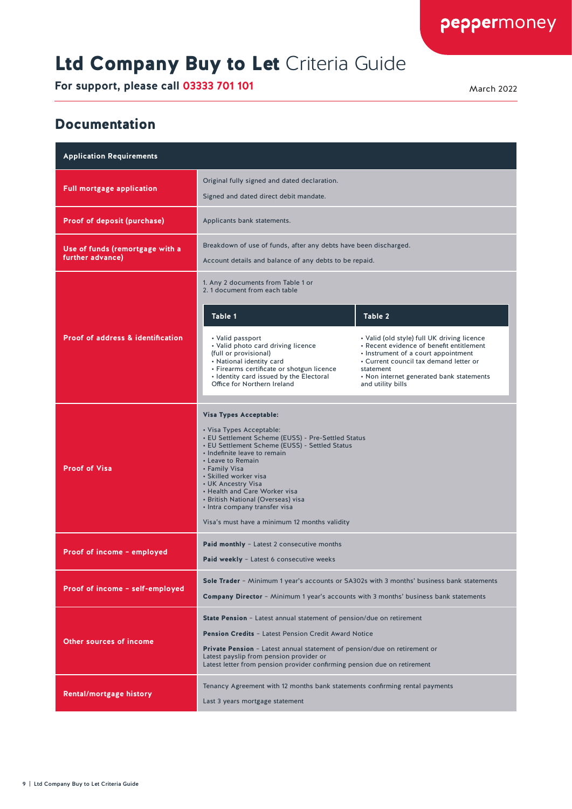## Ltd Company Buy to Let Criteria Guide

**For support, please call 03333 701 101** March 2022

peppermoney

#### Documentation

| <b>Application Requirements</b>                     |                                                                                                                                                                                                                                                                                                                                                                                                                                                                                                                                                                                           |  |
|-----------------------------------------------------|-------------------------------------------------------------------------------------------------------------------------------------------------------------------------------------------------------------------------------------------------------------------------------------------------------------------------------------------------------------------------------------------------------------------------------------------------------------------------------------------------------------------------------------------------------------------------------------------|--|
| <b>Full mortgage application</b>                    | Original fully signed and dated declaration.<br>Signed and dated direct debit mandate.                                                                                                                                                                                                                                                                                                                                                                                                                                                                                                    |  |
| <b>Proof of deposit (purchase)</b>                  | Applicants bank statements.                                                                                                                                                                                                                                                                                                                                                                                                                                                                                                                                                               |  |
| Use of funds (remortgage with a<br>further advance) | Breakdown of use of funds, after any debts have been discharged.<br>Account details and balance of any debts to be repaid.                                                                                                                                                                                                                                                                                                                                                                                                                                                                |  |
| <b>Proof of address &amp; identification</b>        | 1. Any 2 documents from Table 1 or<br>2. 1 document from each table<br>Table 1<br>Table 2<br>• Valid (old style) full UK driving licence<br>• Valid passport<br>• Recent evidence of benefit entitlement<br>• Valid photo card driving licence<br>(full or provisional)<br>• Instrument of a court appointment<br>• National identity card<br>• Current council tax demand letter or<br>• Firearms certificate or shotgun licence<br>statement<br>• Identity card issued by the Electoral<br>• Non internet generated bank statements<br>Office for Northern Ireland<br>and utility bills |  |
| <b>Proof of Visa</b>                                | <b>Visa Types Acceptable:</b><br>• Visa Types Acceptable:<br>• EU Settlement Scheme (EUSS) - Pre-Settled Status<br>• EU Settlement Scheme (EUSS) - Settled Status<br>· Indefinite leave to remain<br>• Leave to Remain<br>• Family Visa<br>• Skilled worker visa<br>• UK Ancestry Visa<br>• Health and Care Worker visa<br>• British National (Overseas) visa<br>• Intra company transfer visa<br>Visa's must have a minimum 12 months validity                                                                                                                                           |  |
| Proof of income - employed                          | <b>Paid monthly</b> - Latest 2 consecutive months<br>Paid weekly - Latest 6 consecutive weeks                                                                                                                                                                                                                                                                                                                                                                                                                                                                                             |  |
| Proof of income - self-employed                     | Sole Trader - Minimum 1 year's accounts or SA302s with 3 months' business bank statements<br><b>Company Director</b> - Minimum 1 year's accounts with 3 months' business bank statements                                                                                                                                                                                                                                                                                                                                                                                                  |  |
| <b>Other sources of income</b>                      | <b>State Pension</b> - Latest annual statement of pension/due on retirement<br><b>Pension Credits - Latest Pension Credit Award Notice</b><br>Private Pension - Latest annual statement of pension/due on retirement or<br>Latest payslip from pension provider or<br>Latest letter from pension provider confirming pension due on retirement                                                                                                                                                                                                                                            |  |
| <b>Rental/mortgage history</b>                      | Tenancy Agreement with 12 months bank statements confirming rental payments<br>Last 3 years mortgage statement                                                                                                                                                                                                                                                                                                                                                                                                                                                                            |  |